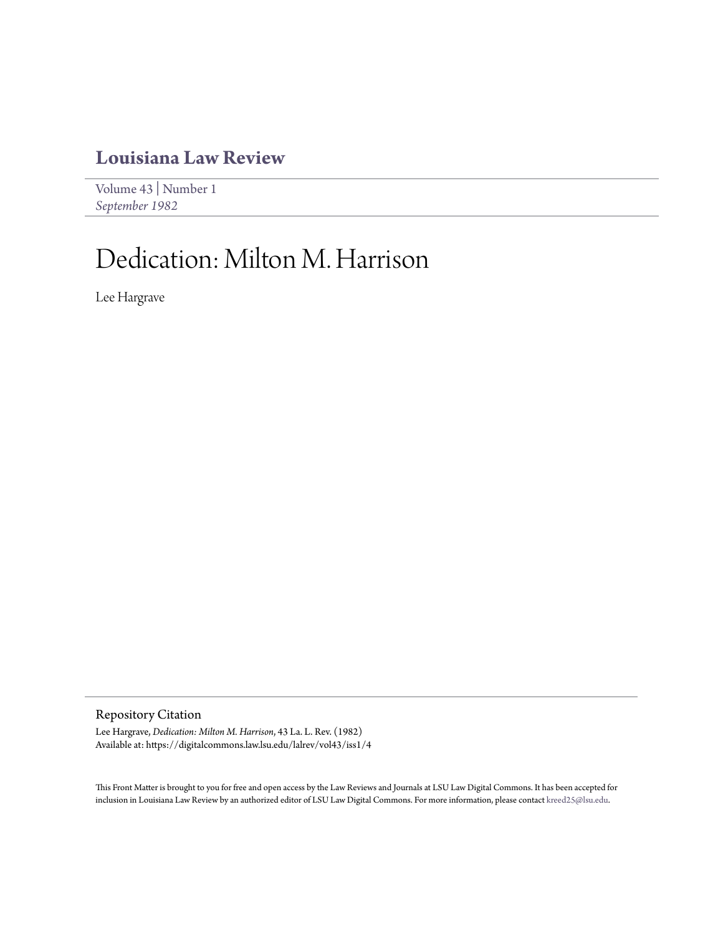## **[Louisiana Law Review](https://digitalcommons.law.lsu.edu/lalrev)**

[Volume 43](https://digitalcommons.law.lsu.edu/lalrev/vol43) | [Number 1](https://digitalcommons.law.lsu.edu/lalrev/vol43/iss1) *[September 1982](https://digitalcommons.law.lsu.edu/lalrev/vol43/iss1)*

## Dedication: Milton M. Harrison

Lee Hargrave

Repository Citation

Lee Hargrave, *Dedication: Milton M. Harrison*, 43 La. L. Rev. (1982) Available at: https://digitalcommons.law.lsu.edu/lalrev/vol43/iss1/4

This Front Matter is brought to you for free and open access by the Law Reviews and Journals at LSU Law Digital Commons. It has been accepted for inclusion in Louisiana Law Review by an authorized editor of LSU Law Digital Commons. For more information, please contact [kreed25@lsu.edu](mailto:kreed25@lsu.edu).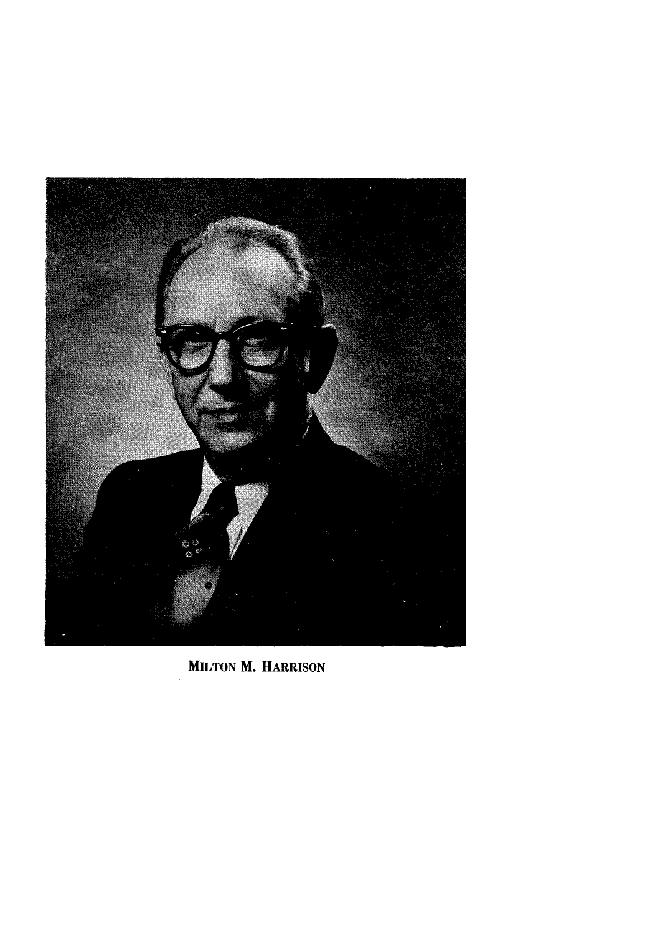

**MILTON** M. HARRISON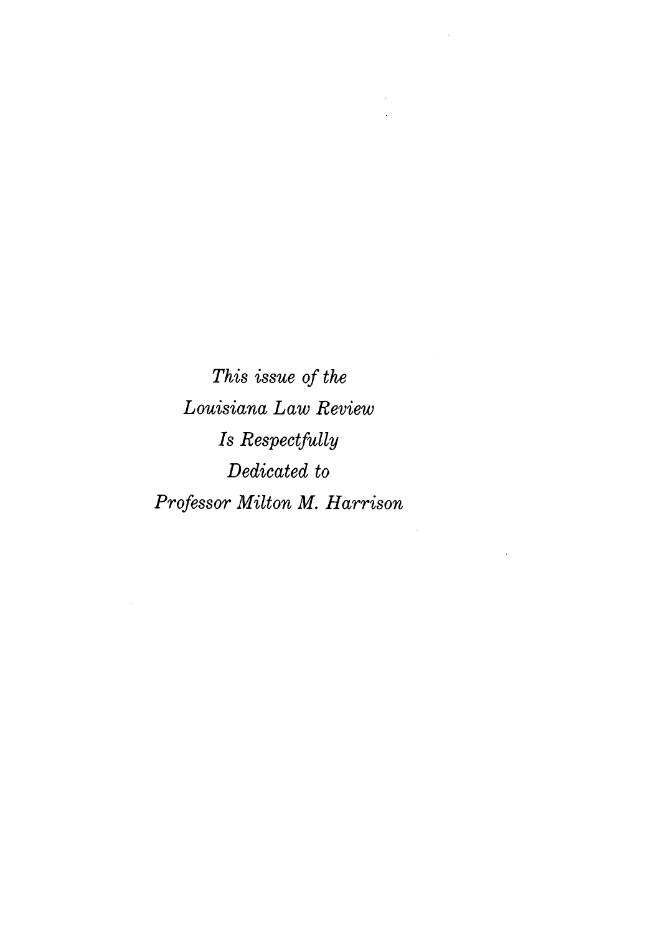*This issue of the Louisiana Law Review Is Respectfully Dedicated to Professor Milton M. Harrison*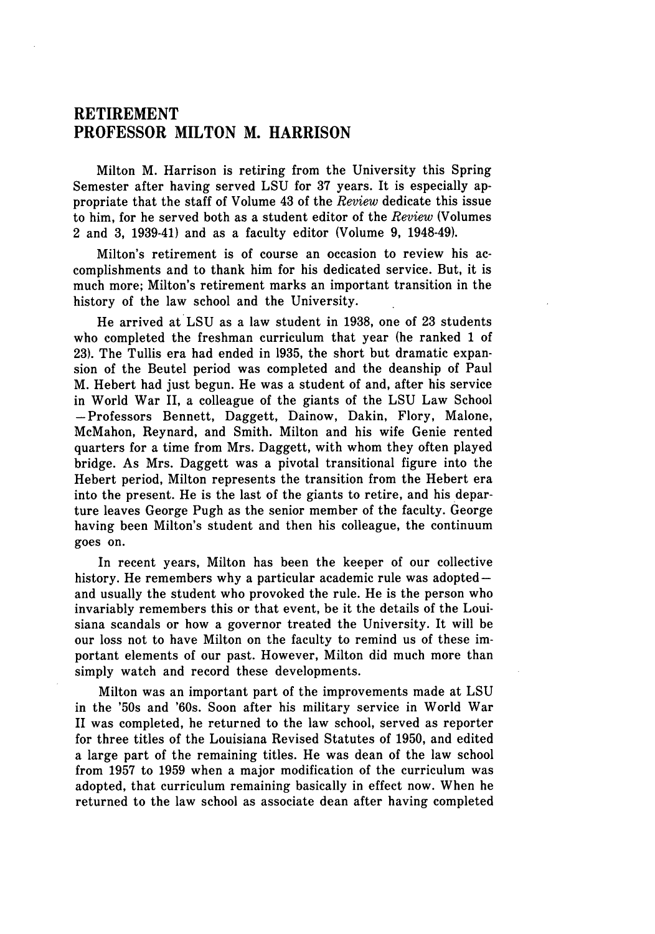## **RETIREMENT PROFESSOR MILTON M. HARRISON**

Milton M. Harrison is retiring from the University this Spring Semester after having served **LSU** for **37** years. It is especially appropriate that the staff of Volume 43 of the *Review* dedicate this issue to him, for he served both as a student editor of the *Review* (Volumes 2 and **3,** 1939-41) and as a faculty editor (Volume **9,** 1948-49).

Milton's retirement is of course an occasion to review his accomplishments and to thank him for his dedicated service. But, it is much more; Milton's retirement marks an important transition in the history of the law school and the University.

He arrived at **LSU** as a law student in **1938,** one of **23** students who completed the freshman curriculum that year (he ranked 1 of **23).** The Tullis era had ended in **1935,** the short but dramatic expansion of the Beutel period was completed and the deanship of Paul M. Hebert had just begun. He was a student of and, after his service in World War II, a colleague of the giants of the **LSU** Law School -Professors Bennett, Daggett, Dainow, Dakin, Flory, Malone, McMahon, Reynard, and Smith. Milton and his wife Genie rented quarters for a time from Mrs. Daggett, with whom they often played bridge. As Mrs. Daggett was a pivotal transitional figure into the Hebert period, Milton represents the transition from the Hebert era into the present. He is the last of the giants to retire, and his departure leaves George Pugh as the senior member of the faculty. George having been Milton's student and then his colleague, the continuum goes on.

In recent years, Milton has been the keeper of our collective history. He remembers why a particular academic rule was adopted  $$ and usually the student who provoked the rule. He is the person who invariably remembers this or that event, be it the details of the Louisiana scandals or how a governor treated the University. It will be our loss not to have Milton on the faculty to remind us of these important elements of our past. However, Milton did much more than simply watch and record these developments.

Milton was an important part of the improvements made at **LSU** in the '50s and '60s. Soon after his military service in World War II was completed, he returned to the law school, served as reporter for three titles of the Louisiana Revised Statutes of **1950,** and edited a large part of the remaining titles. He was dean of the law school from **1957** to **1959** when a major modification of the curriculum was adopted, that curriculum remaining basically in effect now. When he returned to the law school as associate dean after having completed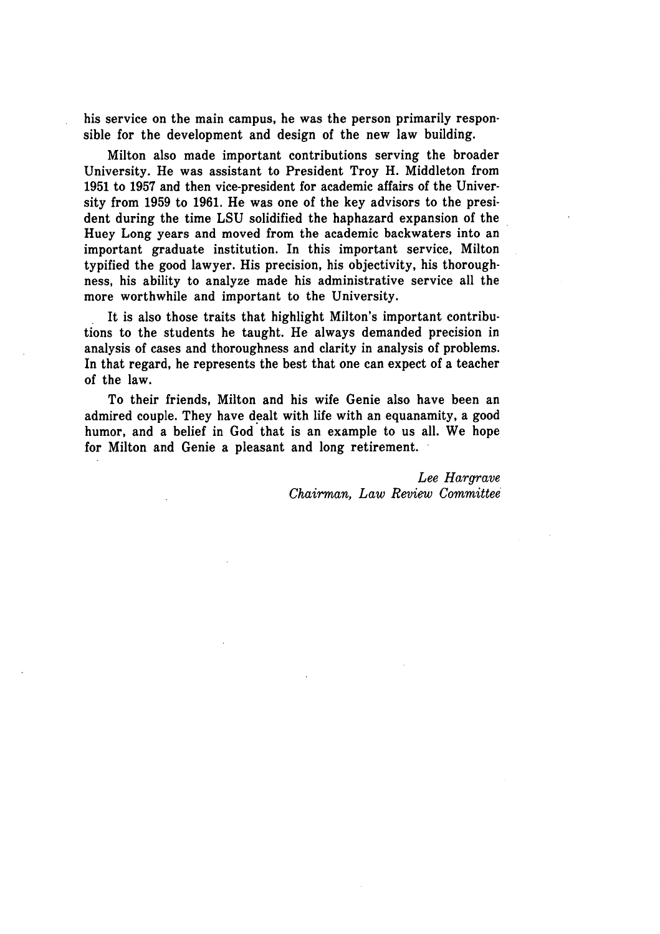his service on the main campus, he was the person primarily responsible for the development and design of the new law building.

Milton also made important contributions serving the broader University. He was assistant to President Troy H. Middleton from **1951** to **1957** and then vice-president for academic affairs of the University from **1959** to **1961.** He was one of the key advisors to the president during the time **LSU** solidified the haphazard expansion of the Huey Long years and moved from the academic backwaters into an important graduate institution. In this important service, Milton typified the good lawyer. His precision, his objectivity, his thoroughness, his ability to analyze made his administrative service all the more worthwhile and important to the University.

It is also those traits that highlight Milton's important contributions to the students he taught. He always demanded precision in analysis of cases and thoroughness and clarity in analysis of problems. In that regard, he represents the best that one can expect of a teacher of the law.

To their friends, Milton and his wife Genie also have been an admired couple. They have dealt with life with an equanamity, a good humor, and a belief in God that is an example to us all. We hope for Milton and Genie a pleasant and long retirement.

> *Lee Hargrave Chairman, Law Review Committee*